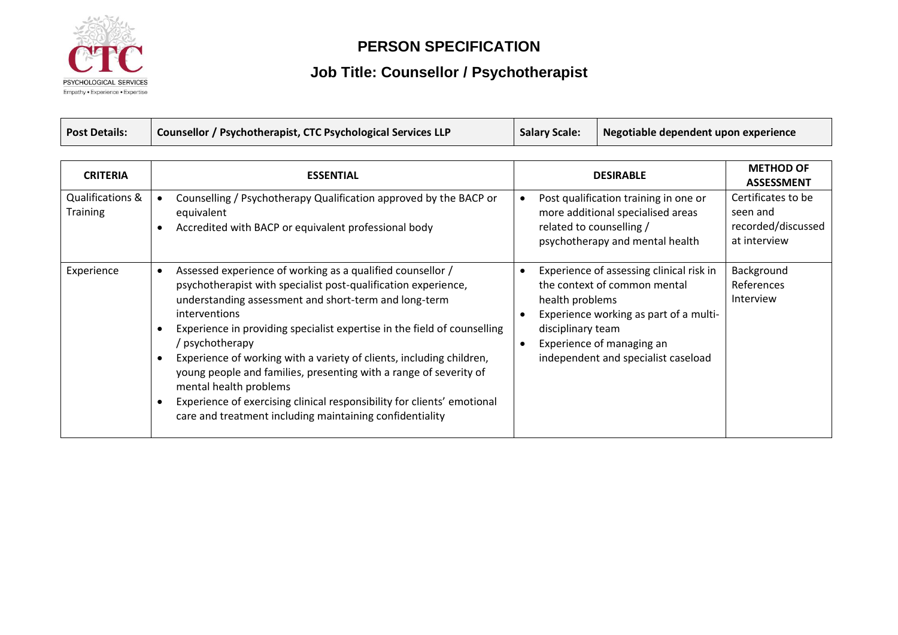

#### **PERSON SPECIFICATION**

# **Job Title: Counsellor / Psychotherapist**

| <b>Post Details:</b> | Counsellor / Psychotherapist, CTC Psychological Services LLP | <b>Salary Scale:</b> | Negotiable dependent upon experience |
|----------------------|--------------------------------------------------------------|----------------------|--------------------------------------|
|----------------------|--------------------------------------------------------------|----------------------|--------------------------------------|

| <b>CRITERIA</b>                     | <b>ESSENTIAL</b>                                                                                                                                                                                                                                                                                                                                                                                                                                                                                                                                                                                                                        | <b>METHOD OF</b><br><b>DESIRABLE</b><br><b>ASSESSMENT</b>                                                                                                                                                                                                               |
|-------------------------------------|-----------------------------------------------------------------------------------------------------------------------------------------------------------------------------------------------------------------------------------------------------------------------------------------------------------------------------------------------------------------------------------------------------------------------------------------------------------------------------------------------------------------------------------------------------------------------------------------------------------------------------------------|-------------------------------------------------------------------------------------------------------------------------------------------------------------------------------------------------------------------------------------------------------------------------|
| Qualifications &<br><b>Training</b> | Counselling / Psychotherapy Qualification approved by the BACP or<br>equivalent<br>Accredited with BACP or equivalent professional body<br>$\bullet$                                                                                                                                                                                                                                                                                                                                                                                                                                                                                    | Certificates to be<br>Post qualification training in one or<br>more additional specialised areas<br>seen and<br>recorded/discussed<br>related to counselling /<br>at interview<br>psychotherapy and mental health                                                       |
| Experience                          | Assessed experience of working as a qualified counsellor /<br>$\bullet$<br>psychotherapist with specialist post-qualification experience,<br>understanding assessment and short-term and long-term<br><i>interventions</i><br>Experience in providing specialist expertise in the field of counselling<br>/ psychotherapy<br>Experience of working with a variety of clients, including children,<br>young people and families, presenting with a range of severity of<br>mental health problems<br>Experience of exercising clinical responsibility for clients' emotional<br>care and treatment including maintaining confidentiality | Background<br>Experience of assessing clinical risk in<br>the context of common mental<br>References<br>Interview<br>health problems<br>Experience working as part of a multi-<br>disciplinary team<br>Experience of managing an<br>independent and specialist caseload |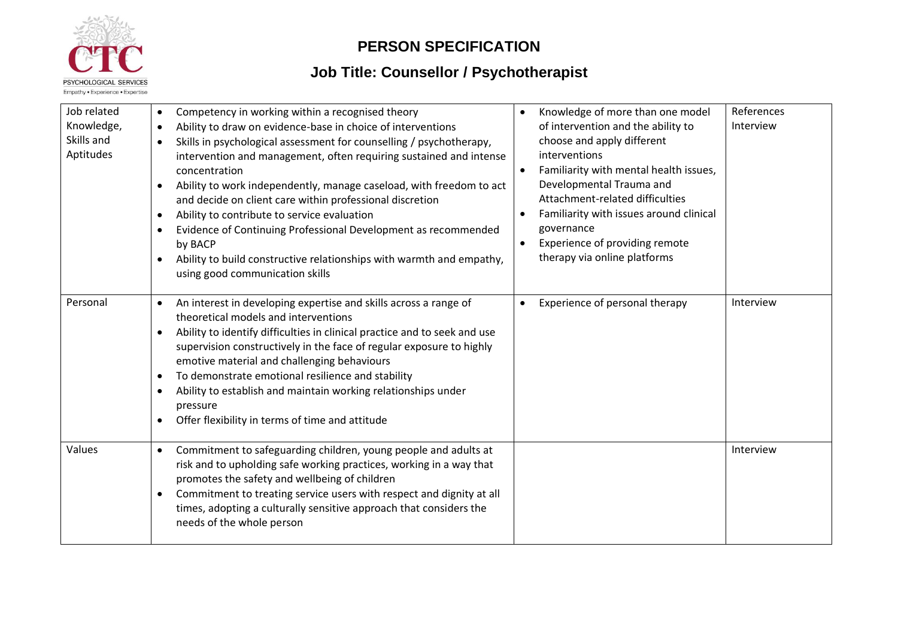

#### **PERSON SPECIFICATION**

# **Job Title: Counsellor / Psychotherapist**

| Job related<br>Knowledge,<br>Skills and | Competency in working within a recognised theory<br>$\bullet$<br>Ability to draw on evidence-base in choice of interventions<br>$\bullet$<br>Skills in psychological assessment for counselling / psychotherapy,                                                                                                                                                                                                                                                                                                                         | Knowledge of more than one model<br>of intervention and the ability to<br>choose and apply different                                                                                                                                              | References<br>Interview |
|-----------------------------------------|------------------------------------------------------------------------------------------------------------------------------------------------------------------------------------------------------------------------------------------------------------------------------------------------------------------------------------------------------------------------------------------------------------------------------------------------------------------------------------------------------------------------------------------|---------------------------------------------------------------------------------------------------------------------------------------------------------------------------------------------------------------------------------------------------|-------------------------|
| Aptitudes                               | intervention and management, often requiring sustained and intense<br>concentration<br>Ability to work independently, manage caseload, with freedom to act<br>$\bullet$<br>and decide on client care within professional discretion<br>Ability to contribute to service evaluation<br>$\bullet$<br>Evidence of Continuing Professional Development as recommended<br>$\bullet$<br>by BACP<br>Ability to build constructive relationships with warmth and empathy,<br>using good communication skills                                     | interventions<br>Familiarity with mental health issues,<br>Developmental Trauma and<br>Attachment-related difficulties<br>Familiarity with issues around clinical<br>governance<br>Experience of providing remote<br>therapy via online platforms |                         |
| Personal                                | An interest in developing expertise and skills across a range of<br>$\bullet$<br>theoretical models and interventions<br>Ability to identify difficulties in clinical practice and to seek and use<br>supervision constructively in the face of regular exposure to highly<br>emotive material and challenging behaviours<br>To demonstrate emotional resilience and stability<br>$\bullet$<br>Ability to establish and maintain working relationships under<br>$\bullet$<br>pressure<br>Offer flexibility in terms of time and attitude | Experience of personal therapy                                                                                                                                                                                                                    | Interview               |
| Values                                  | Commitment to safeguarding children, young people and adults at<br>$\bullet$<br>risk and to upholding safe working practices, working in a way that<br>promotes the safety and wellbeing of children<br>Commitment to treating service users with respect and dignity at all<br>$\bullet$<br>times, adopting a culturally sensitive approach that considers the<br>needs of the whole person                                                                                                                                             |                                                                                                                                                                                                                                                   | Interview               |